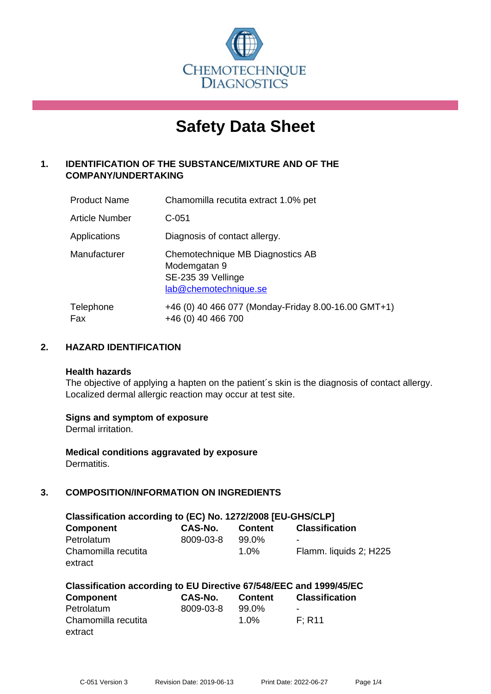

# **Safety Data Sheet**

# **1. IDENTIFICATION OF THE SUBSTANCE/MIXTURE AND OF THE COMPANY/UNDERTAKING**

| <b>Product Name</b> | Chamomilla recutita extract 1.0% pet                                                            |
|---------------------|-------------------------------------------------------------------------------------------------|
| Article Number      | $C-051$                                                                                         |
| Applications        | Diagnosis of contact allergy.                                                                   |
| Manufacturer        | Chemotechnique MB Diagnostics AB<br>Modemgatan 9<br>SE-235 39 Vellinge<br>lab@chemotechnique.se |
| Telephone<br>Fax    | +46 (0) 40 466 077 (Monday-Friday 8.00-16.00 GMT+1)<br>+46 (0) 40 466 700                       |

## **2. HAZARD IDENTIFICATION**

#### **Health hazards**

The objective of applying a hapten on the patient's skin is the diagnosis of contact allergy. Localized dermal allergic reaction may occur at test site.

## **Signs and symptom of exposure**

Dermal irritation.

**Medical conditions aggravated by exposure** Dermatitis.

# **3. COMPOSITION/INFORMATION ON INGREDIENTS**

| Classification according to (EC) No. 1272/2008 [EU-GHS/CLP] |           |                |                        |  |  |
|-------------------------------------------------------------|-----------|----------------|------------------------|--|--|
| <b>Component</b>                                            | CAS-No.   | <b>Content</b> | <b>Classification</b>  |  |  |
| Petrolatum                                                  | 8009-03-8 | 99.0%          | -                      |  |  |
| Chamomilla recutita                                         |           | $1.0\%$        | Flamm. liquids 2; H225 |  |  |
| extract                                                     |           |                |                        |  |  |

| Classification according to EU Directive 67/548/EEC and 1999/45/EC |           |         |                       |  |
|--------------------------------------------------------------------|-----------|---------|-----------------------|--|
| Component                                                          | CAS-No.   | Content | <b>Classification</b> |  |
| Petrolatum                                                         | 8009-03-8 | 99.0%   |                       |  |
| Chamomilla recutita                                                |           | $1.0\%$ | F: R11                |  |
| extract                                                            |           |         |                       |  |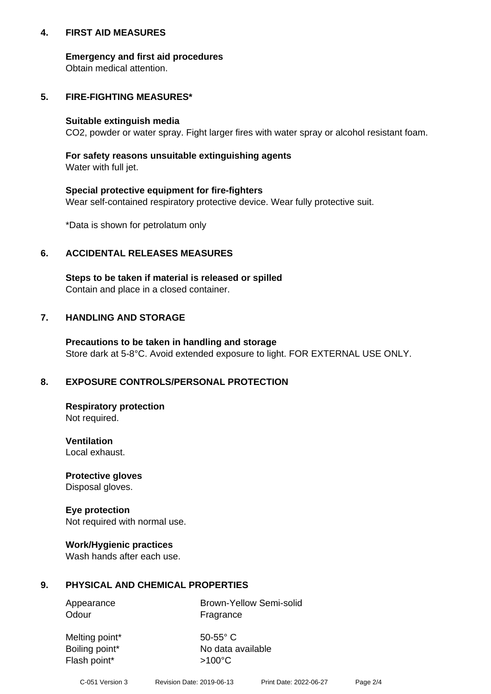## **4. FIRST AID MEASURES**

## **Emergency and first aid procedures**

Obtain medical attention.

# **5. FIRE-FIGHTING MEASURES\***

#### **Suitable extinguish media**

CO2, powder or water spray. Fight larger fires with water spray or alcohol resistant foam.

# **For safety reasons unsuitable extinguishing agents**

Water with full jet.

## **Special protective equipment for fire-fighters**

Wear self-contained respiratory protective device. Wear fully protective suit.

\*Data is shown for petrolatum only

## **6. ACCIDENTAL RELEASES MEASURES**

**Steps to be taken if material is released or spilled** Contain and place in a closed container.

# **7. HANDLING AND STORAGE**

**Precautions to be taken in handling and storage** Store dark at 5-8°C. Avoid extended exposure to light. FOR EXTERNAL USE ONLY.

# **8. EXPOSURE CONTROLS/PERSONAL PROTECTION**

**Respiratory protection** Not required.

**Ventilation** Local exhaust.

**Protective gloves** Disposal gloves.

#### **Eye protection** Not required with normal use.

## **Work/Hygienic practices**

Wash hands after each use.

## **9. PHYSICAL AND CHEMICAL PROPERTIES**

Odour Fragrance

Appearance Brown-Yellow Semi-solid

Melting point\* 50-55° C Flash point\*  $>100^{\circ}$ C

Boiling point\* No data available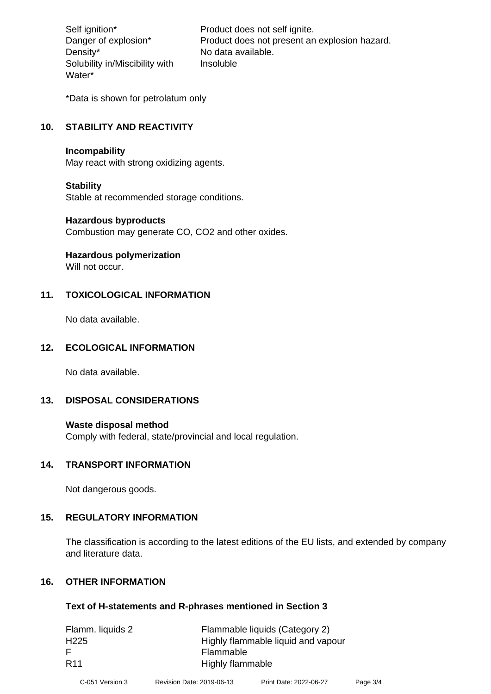Density\* No data available. Solubility in/Miscibility with Water\*

Self ignition\* Product does not self ignite. Danger of explosion\* Product does not present an explosion hazard. Insoluble

\*Data is shown for petrolatum only

# **10. STABILITY AND REACTIVITY**

#### **Incompability**

May react with strong oxidizing agents.

#### **Stability**

Stable at recommended storage conditions.

#### **Hazardous byproducts**

Combustion may generate CO, CO2 and other oxides.

**Hazardous polymerization**

Will not occur.

## **11. TOXICOLOGICAL INFORMATION**

No data available.

## **12. ECOLOGICAL INFORMATION**

No data available.

## **13. DISPOSAL CONSIDERATIONS**

#### **Waste disposal method**

Comply with federal, state/provincial and local regulation.

#### **14. TRANSPORT INFORMATION**

Not dangerous goods.

## **15. REGULATORY INFORMATION**

The classification is according to the latest editions of the EU lists, and extended by company and literature data.

#### **16. OTHER INFORMATION**

#### **Text of H-statements and R-phrases mentioned in Section 3**

| Flamm. liquids 2 | Flammable liquids (Category 2)     |
|------------------|------------------------------------|
| H <sub>225</sub> | Highly flammable liquid and vapour |
| -F               | Flammable                          |
| <b>R11</b>       | Highly flammable                   |
|                  |                                    |